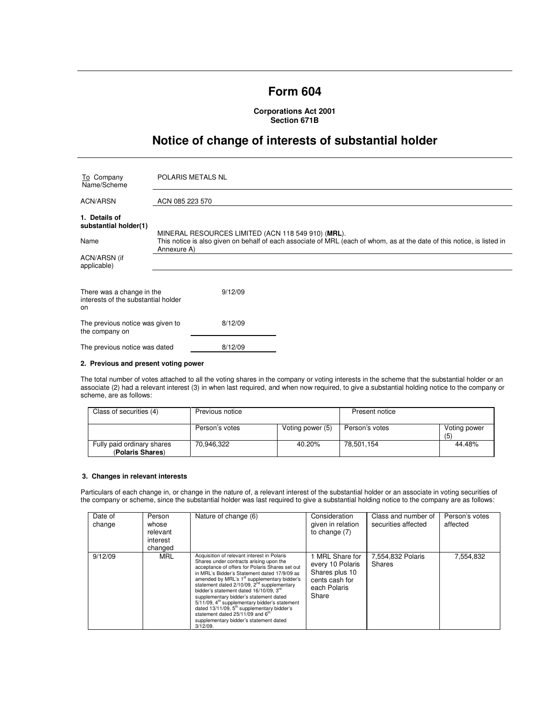## **Form 604**

**Corporations Act 2001 Section 671B** 

# **Notice of change of interests of substantial holder**

| To Company<br>Name/Scheme                                              | <b>POLARIS METALS NL</b>                                                                                                                                                                     |  |  |
|------------------------------------------------------------------------|----------------------------------------------------------------------------------------------------------------------------------------------------------------------------------------------|--|--|
| ACN/ARSN                                                               | ACN 085 223 570                                                                                                                                                                              |  |  |
| 1. Details of<br>substantial holder(1)<br>Name                         | MINERAL RESOURCES LIMITED (ACN 118 549 910) (MRL).<br>This notice is also given on behalf of each associate of MRL (each of whom, as at the date of this notice, is listed in<br>Annexure A) |  |  |
| ACN/ARSN (if<br>applicable)                                            |                                                                                                                                                                                              |  |  |
| There was a change in the<br>interests of the substantial holder<br>on | 9/12/09                                                                                                                                                                                      |  |  |
| The previous notice was given to<br>the company on                     | 8/12/09                                                                                                                                                                                      |  |  |
| The previous notice was dated                                          | 8/12/09                                                                                                                                                                                      |  |  |

### **2. Previous and present voting power**

The total number of votes attached to all the voting shares in the company or voting interests in the scheme that the substantial holder or an associate (2) had a relevant interest (3) in when last required, and when now required, to give a substantial holding notice to the company or scheme, are as follows:

| Class of securities (4)                        | Previous notice |                  | Present notice |                    |
|------------------------------------------------|-----------------|------------------|----------------|--------------------|
|                                                | Person's votes  | Voting power (5) | Person's votes | Voting power<br>(5 |
| Fully paid ordinary shares<br>(Polaris Shares) | 70.946.322      | 40.20%           | 78.501.154     | 44.48%             |

### **3. Changes in relevant interests**

Particulars of each change in, or change in the nature of, a relevant interest of the substantial holder or an associate in voting securities of the company or scheme, since the substantial holder was last required to give a substantial holding notice to the company are as follows:

| Date of<br>change | Person<br>whose<br>relevant<br>interest<br>changed | Nature of change (6)                                                                                                                                                                                                                                                                                                                                                                                                                                                                                                                                                                                                               | Consideration<br>given in relation<br>to change $(7)$                                          | Class and number of<br>securities affected | Person's votes<br>affected |
|-------------------|----------------------------------------------------|------------------------------------------------------------------------------------------------------------------------------------------------------------------------------------------------------------------------------------------------------------------------------------------------------------------------------------------------------------------------------------------------------------------------------------------------------------------------------------------------------------------------------------------------------------------------------------------------------------------------------------|------------------------------------------------------------------------------------------------|--------------------------------------------|----------------------------|
| 9/12/09           | MRL                                                | Acquisition of relevant interest in Polaris<br>Shares under contracts arising upon the<br>acceptance of offers for Polaris Shares set out<br>in MRL's Bidder's Statement dated 17/9/09 as<br>amended by MRL's 1 <sup>st</sup> supplementary bidder's<br>statement dated 2/10/09, 2 <sup>nd</sup> supplementary<br>bidder's statement dated 16/10/09. 3rd<br>supplementary bidder's statement dated<br>5/11/09, 4 <sup>th</sup> supplementary bidder's statement<br>dated 13/11/09, 5 <sup>th</sup> supplementary bidder's<br>statement dated 25/11/09 and 6 <sup>th</sup><br>supplementary bidder's statement dated<br>$3/12/09$ . | MRL Share for<br>every 10 Polaris<br>Shares plus 10<br>cents cash for<br>each Polaris<br>Share | 7,554,832 Polaris<br>Shares                | 7.554.832                  |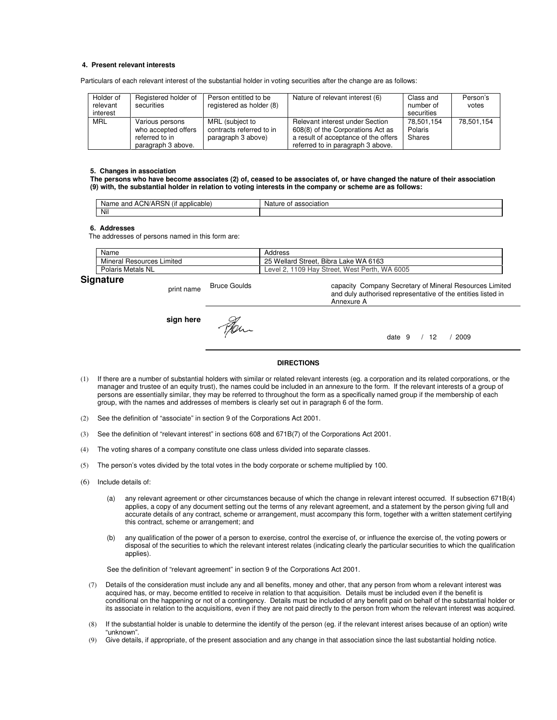#### **4. Present relevant interests**

Particulars of each relevant interest of the substantial holder in voting securities after the change are as follows:

| Holder of<br>relevant<br>interest | Registered holder of<br>securities                                             | Person entitled to be<br>registered as holder (8)                 | Nature of relevant interest (6)                                                                                                                   | Class and<br>number of<br>securities | Person's<br>votes |
|-----------------------------------|--------------------------------------------------------------------------------|-------------------------------------------------------------------|---------------------------------------------------------------------------------------------------------------------------------------------------|--------------------------------------|-------------------|
| <b>MRL</b>                        | Various persons<br>who accepted offers<br>referred to in<br>paragraph 3 above. | MRL (subject to<br>contracts referred to in<br>paragraph 3 above) | Relevant interest under Section<br>608(8) of the Corporations Act as<br>a result of acceptance of the offers<br>referred to in paragraph 3 above. | 78.501.154<br>Polaris<br>Shares      | 78.501.154        |

#### **5. Changes in association**

**The persons who have become associates (2) of, ceased to be associates of, or have changed the nature of their association (9) with, the substantial holder in relation to voting interests in the company or scheme are as follows:** 

| $\cdots$<br>$. \n\neg \neg$<br>and<br>plicable<br>onn<br>'N L<br>Νа<br>(IT<br><b>ARSN</b><br>AUN/<br>ame<br>au | ure.<br>Na.<br>noc.<br>ΟĪ<br>association |
|----------------------------------------------------------------------------------------------------------------|------------------------------------------|
| Nil                                                                                                            |                                          |

#### **6. Addresses**

The addresses of persons named in this form are:

| Name                         | Address                                                                       |
|------------------------------|-------------------------------------------------------------------------------|
| Mineral Resources<br>Limited | <b>Bibra</b><br>25<br>WA 6163<br>Wellard<br>Street.<br>Lake                   |
| Polaris<br>Metals<br>NL      | <b>MA</b><br>109<br>6005<br>Hav<br>Street.<br>Perth<br>West <b>H</b><br>Level |

Annexure A

## **Signature**

print name Bruce Goulds

**sign here**

date 9 / 12 / 2009

capacity Company Secretary of Mineral Resources Limited and duly authorised representative of the entities listed in

#### **DIRECTIONS**

- (1) If there are a number of substantial holders with similar or related relevant interests (eg. a corporation and its related corporations, or the manager and trustee of an equity trust), the names could be included in an annexure to the form. If the relevant interests of a group of persons are essentially similar, they may be referred to throughout the form as a specifically named group if the membership of each group, with the names and addresses of members is clearly set out in paragraph 6 of the form.
- (2) See the definition of "associate" in section 9 of the Corporations Act 2001.
- (3) See the definition of "relevant interest" in sections 608 and 671B(7) of the Corporations Act 2001.
- (4) The voting shares of a company constitute one class unless divided into separate classes.
- (5) The person's votes divided by the total votes in the body corporate or scheme multiplied by 100.
- (6) Include details of:
	- (a) any relevant agreement or other circumstances because of which the change in relevant interest occurred. If subsection 671B(4) applies, a copy of any document setting out the terms of any relevant agreement, and a statement by the person giving full and accurate details of any contract, scheme or arrangement, must accompany this form, together with a written statement certifying this contract, scheme or arrangement; and
	- (b) any qualification of the power of a person to exercise, control the exercise of, or influence the exercise of, the voting powers or disposal of the securities to which the relevant interest relates (indicating clearly the particular securities to which the qualification applies).

See the definition of "relevant agreement" in section 9 of the Corporations Act 2001.

- (7) Details of the consideration must include any and all benefits, money and other, that any person from whom a relevant interest was acquired has, or may, become entitled to receive in relation to that acquisition. Details must be included even if the benefit is conditional on the happening or not of a contingency. Details must be included of any benefit paid on behalf of the substantial holder or its associate in relation to the acquisitions, even if they are not paid directly to the person from whom the relevant interest was acquired.
- (8) If the substantial holder is unable to determine the identify of the person (eg. if the relevant interest arises because of an option) write "unknown".
- (9) Give details, if appropriate, of the present association and any change in that association since the last substantial holding notice.